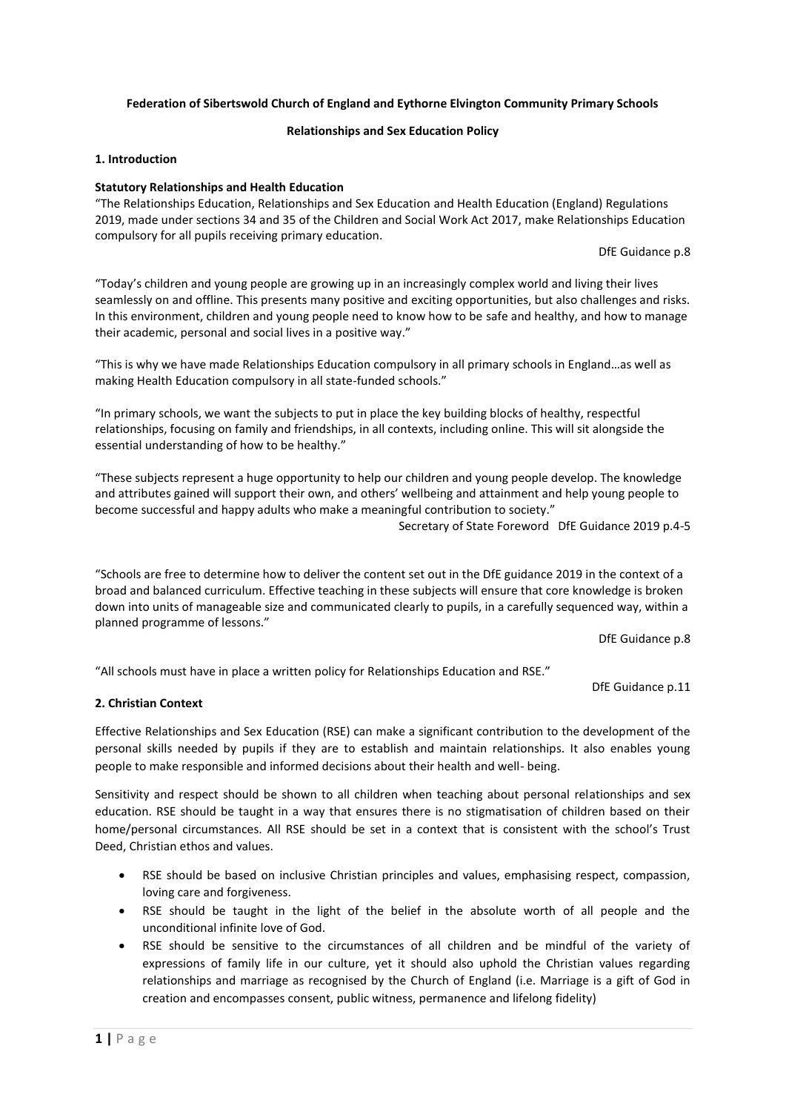## **Federation of Sibertswold Church of England and Eythorne Elvington Community Primary Schools**

## **Relationships and Sex Education Policy**

### **1. Introduction**

### **Statutory Relationships and Health Education**

"The Relationships Education, Relationships and Sex Education and Health Education (England) Regulations 2019, made under sections 34 and 35 of the Children and Social Work Act 2017, make Relationships Education compulsory for all pupils receiving primary education.

DfE Guidance p.8

"Today's children and young people are growing up in an increasingly complex world and living their lives seamlessly on and offline. This presents many positive and exciting opportunities, but also challenges and risks. In this environment, children and young people need to know how to be safe and healthy, and how to manage their academic, personal and social lives in a positive way."

"This is why we have made Relationships Education compulsory in all primary schools in England…as well as making Health Education compulsory in all state-funded schools."

"In primary schools, we want the subjects to put in place the key building blocks of healthy, respectful relationships, focusing on family and friendships, in all contexts, including online. This will sit alongside the essential understanding of how to be healthy."

"These subjects represent a huge opportunity to help our children and young people develop. The knowledge and attributes gained will support their own, and others' wellbeing and attainment and help young people to become successful and happy adults who make a meaningful contribution to society."

Secretary of State Foreword DfE Guidance 2019 p.4-5

"Schools are free to determine how to deliver the content set out in the DfE guidance 2019 in the context of a broad and balanced curriculum. Effective teaching in these subjects will ensure that core knowledge is broken down into units of manageable size and communicated clearly to pupils, in a carefully sequenced way, within a planned programme of lessons."

DfE Guidance p.8

"All schools must have in place a written policy for Relationships Education and RSE."

DfE Guidance p.11

## **2. Christian Context**

Effective Relationships and Sex Education (RSE) can make a significant contribution to the development of the personal skills needed by pupils if they are to establish and maintain relationships. It also enables young people to make responsible and informed decisions about their health and well- being.

Sensitivity and respect should be shown to all children when teaching about personal relationships and sex education. RSE should be taught in a way that ensures there is no stigmatisation of children based on their home/personal circumstances. All RSE should be set in a context that is consistent with the school's Trust Deed, Christian ethos and values.

- RSE should be based on inclusive Christian principles and values, emphasising respect, compassion, loving care and forgiveness.
- RSE should be taught in the light of the belief in the absolute worth of all people and the unconditional infinite love of God.
- RSE should be sensitive to the circumstances of all children and be mindful of the variety of expressions of family life in our culture, yet it should also uphold the Christian values regarding relationships and marriage as recognised by the Church of England (i.e. Marriage is a gift of God in creation and encompasses consent, public witness, permanence and lifelong fidelity)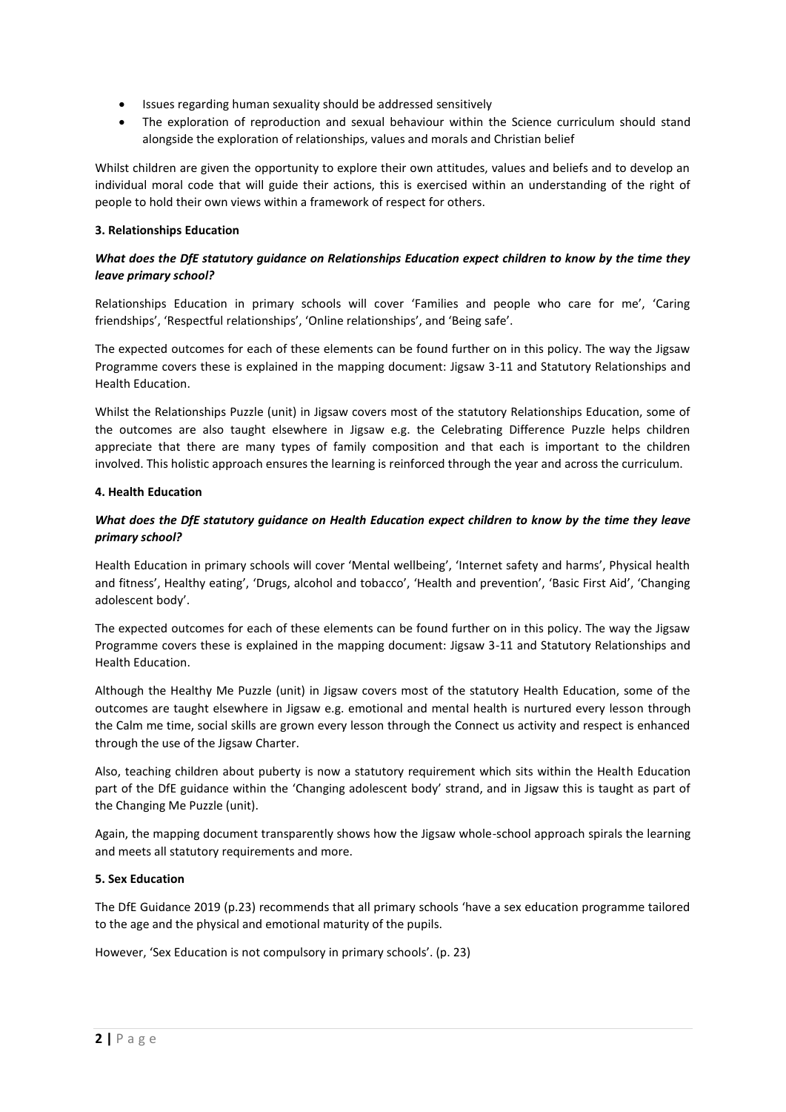- Issues regarding human sexuality should be addressed sensitively
- The exploration of reproduction and sexual behaviour within the Science curriculum should stand alongside the exploration of relationships, values and morals and Christian belief

Whilst children are given the opportunity to explore their own attitudes, values and beliefs and to develop an individual moral code that will guide their actions, this is exercised within an understanding of the right of people to hold their own views within a framework of respect for others.

## **3. Relationships Education**

# *What does the DfE statutory guidance on Relationships Education expect children to know by the time they leave primary school?*

Relationships Education in primary schools will cover 'Families and people who care for me', 'Caring friendships', 'Respectful relationships', 'Online relationships', and 'Being safe'.

The expected outcomes for each of these elements can be found further on in this policy. The way the Jigsaw Programme covers these is explained in the mapping document: Jigsaw 3-11 and Statutory Relationships and Health Education.

Whilst the Relationships Puzzle (unit) in Jigsaw covers most of the statutory Relationships Education, some of the outcomes are also taught elsewhere in Jigsaw e.g. the Celebrating Difference Puzzle helps children appreciate that there are many types of family composition and that each is important to the children involved. This holistic approach ensures the learning is reinforced through the year and across the curriculum.

## **4. Health Education**

# *What does the DfE statutory guidance on Health Education expect children to know by the time they leave primary school?*

Health Education in primary schools will cover 'Mental wellbeing', 'Internet safety and harms', Physical health and fitness', Healthy eating', 'Drugs, alcohol and tobacco', 'Health and prevention', 'Basic First Aid', 'Changing adolescent body'.

The expected outcomes for each of these elements can be found further on in this policy. The way the Jigsaw Programme covers these is explained in the mapping document: Jigsaw 3-11 and Statutory Relationships and Health Education.

Although the Healthy Me Puzzle (unit) in Jigsaw covers most of the statutory Health Education, some of the outcomes are taught elsewhere in Jigsaw e.g. emotional and mental health is nurtured every lesson through the Calm me time, social skills are grown every lesson through the Connect us activity and respect is enhanced through the use of the Jigsaw Charter.

Also, teaching children about puberty is now a statutory requirement which sits within the Health Education part of the DfE guidance within the 'Changing adolescent body' strand, and in Jigsaw this is taught as part of the Changing Me Puzzle (unit).

Again, the mapping document transparently shows how the Jigsaw whole-school approach spirals the learning and meets all statutory requirements and more.

## **5. Sex Education**

The DfE Guidance 2019 (p.23) recommends that all primary schools 'have a sex education programme tailored to the age and the physical and emotional maturity of the pupils.

However, 'Sex Education is not compulsory in primary schools'. (p. 23)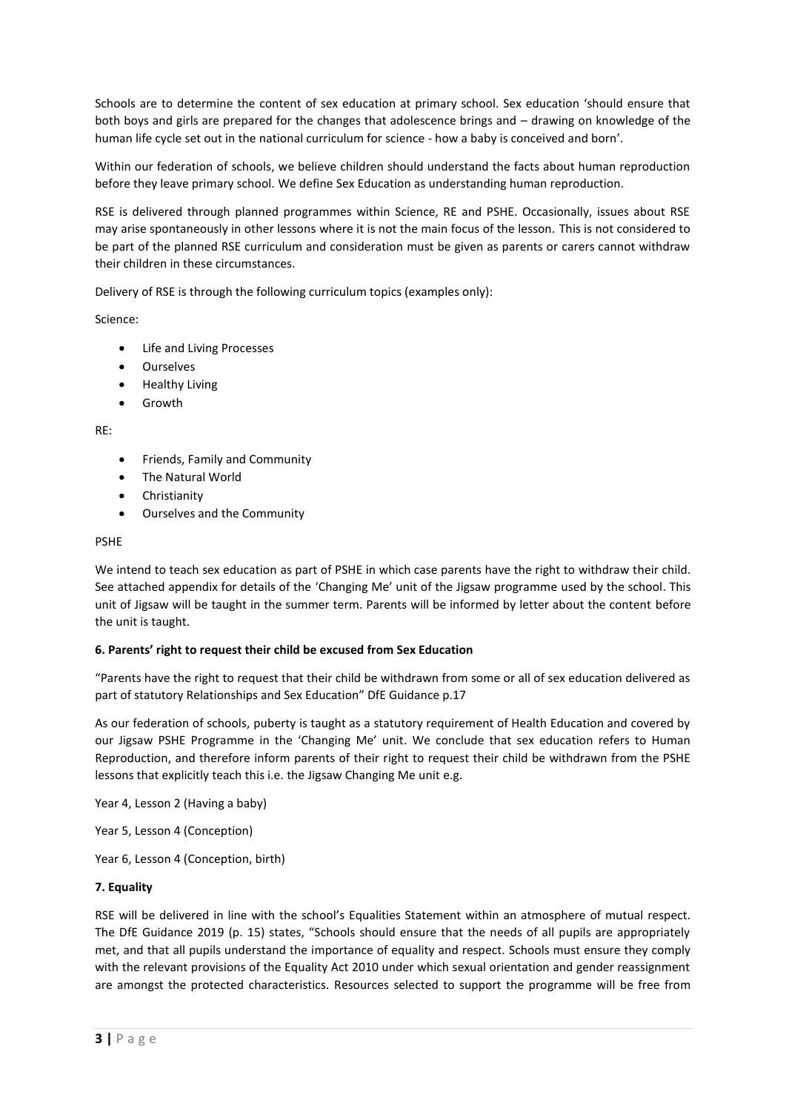Schools are to determine the content of sex education at primary school. Sex education 'should ensure that both boys and girls are prepared for the changes that adolescence brings and – drawing on knowledge of the human life cycle set out in the national curriculum for science - how a baby is conceived and born'.

Within our federation of schools, we believe children should understand the facts about human reproduction before they leave primary school. We define Sex Education as understanding human reproduction.

RSE is delivered through planned programmes within Science, RE and PSHE. Occasionally, issues about RSE may arise spontaneously in other lessons where it is not the main focus of the lesson. This is not considered to be part of the planned RSE curriculum and consideration must be given as parents or carers cannot withdraw their children in these circumstances.

Delivery of RSE is through the following curriculum topics (examples only):

Science:

- Life and Living Processes
- Ourselves
- Healthy Living
- Growth

RE:

- Friends, Family and Community
- The Natural World
- Christianity
- Ourselves and the Community

#### PSHE

We intend to teach sex education as part of PSHE in which case parents have the right to withdraw their child. See attached appendix for details of the 'Changing Me' unit of the Jigsaw programme used by the school. This unit of Jigsaw will be taught in the summer term. Parents will be informed by letter about the content before the unit is taught.

## **6. Parents' right to request their child be excused from Sex Education**

"Parents have the right to request that their child be withdrawn from some or all of sex education delivered as part of statutory Relationships and Sex Education" DfE Guidance p.17

As our federation of schools, puberty is taught as a statutory requirement of Health Education and covered by our Jigsaw PSHE Programme in the 'Changing Me' unit. We conclude that sex education refers to Human Reproduction, and therefore inform parents of their right to request their child be withdrawn from the PSHE lessons that explicitly teach this i.e. the Jigsaw Changing Me unit e.g.

Year 4, Lesson 2 (Having a baby)

Year 5, Lesson 4 (Conception)

Year 6, Lesson 4 (Conception, birth)

## **7. Equality**

RSE will be delivered in line with the school's Equalities Statement within an atmosphere of mutual respect. The DfE Guidance 2019 (p. 15) states, "Schools should ensure that the needs of all pupils are appropriately met, and that all pupils understand the importance of equality and respect. Schools must ensure they comply with the relevant provisions of the Equality Act 2010 under which sexual orientation and gender reassignment are amongst the protected characteristics. Resources selected to support the programme will be free from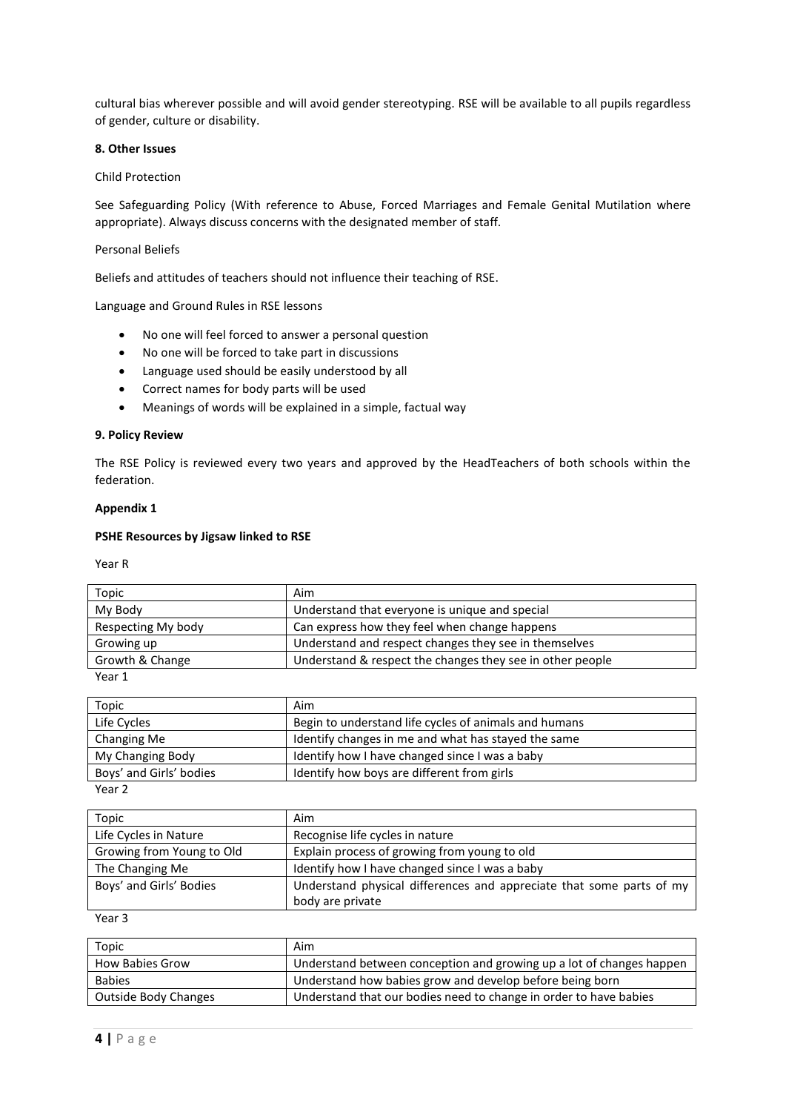cultural bias wherever possible and will avoid gender stereotyping. RSE will be available to all pupils regardless of gender, culture or disability.

### **8. Other Issues**

## Child Protection

See Safeguarding Policy (With reference to Abuse, Forced Marriages and Female Genital Mutilation where appropriate). Always discuss concerns with the designated member of staff.

### Personal Beliefs

Beliefs and attitudes of teachers should not influence their teaching of RSE.

Language and Ground Rules in RSE lessons

- No one will feel forced to answer a personal question
- No one will be forced to take part in discussions
- Language used should be easily understood by all
- Correct names for body parts will be used
- Meanings of words will be explained in a simple, factual way

#### **9. Policy Review**

The RSE Policy is reviewed every two years and approved by the HeadTeachers of both schools within the federation.

#### **Appendix 1**

#### **PSHE Resources by Jigsaw linked to RSE**

Year R

| Topic              | Aim                                                       |
|--------------------|-----------------------------------------------------------|
| My Body            | Understand that everyone is unique and special            |
| Respecting My body | Can express how they feel when change happens             |
| Growing up         | Understand and respect changes they see in themselves     |
| Growth & Change    | Understand & respect the changes they see in other people |

Year 1

| Topic                   | Aim                                                   |
|-------------------------|-------------------------------------------------------|
| Life Cycles             | Begin to understand life cycles of animals and humans |
| Changing Me             | Identify changes in me and what has stayed the same   |
| My Changing Body        | Identify how I have changed since I was a baby        |
| Boys' and Girls' bodies | Identify how boys are different from girls            |
| $\cdots$                |                                                       |

Year 2

| Topic                     | Aim                                                                  |
|---------------------------|----------------------------------------------------------------------|
| Life Cycles in Nature     | Recognise life cycles in nature                                      |
| Growing from Young to Old | Explain process of growing from young to old                         |
| The Changing Me           | Identify how I have changed since I was a baby                       |
| Boys' and Girls' Bodies   | Understand physical differences and appreciate that some parts of my |
|                           | body are private                                                     |

Year 3

| Topic                  | Aim                                                                  |
|------------------------|----------------------------------------------------------------------|
| <b>How Babies Grow</b> | Understand between conception and growing up a lot of changes happen |
| <b>Babies</b>          | Understand how babies grow and develop before being born             |
| Outside Body Changes   | Understand that our bodies need to change in order to have babies    |